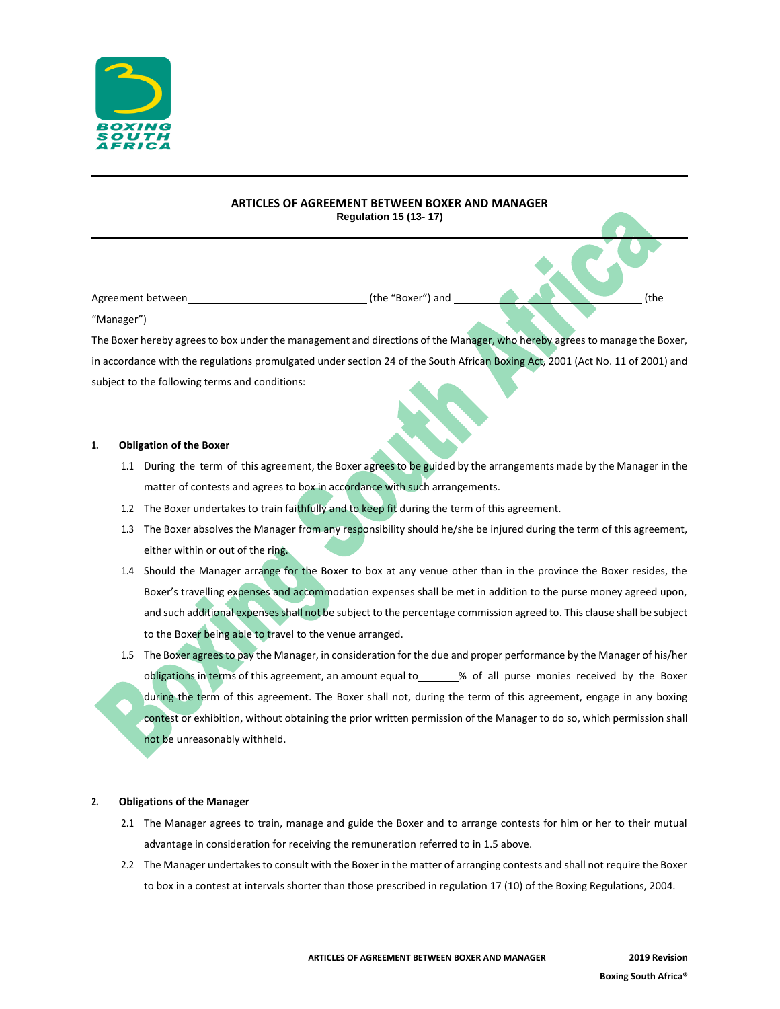

# **ARTICLES OF AGREEMENT BETWEEN BOXER AND MANAGER Regulation 15 (13- 17)**

Agreement between (the "Boxer") and (the

"Manager")

The Boxer hereby agrees to box under the management and directions of the Manager, who hereby agrees to manage the Boxer, in accordance with the regulations promulgated under section 24 of the South African Boxing Act, 2001 (Act No. 11 of 2001) and subject to the following terms and conditions:

## **1. Obligation of the Boxer**

- 1.1 During the term of this agreement, the Boxer agrees to be guided by the arrangements made by the Manager in the matter of contests and agrees to box in accordance with such arrangements.
- 1.2 The Boxer undertakes to train faithfully and to keep fit during the term of this agreement.
- 1.3 The Boxer absolves the Manager from any responsibility should he/she be injured during the term of this agreement, either within or out of the ring.
- 1.4 Should the Manager arrange for the Boxer to box at any venue other than in the province the Boxer resides, the Boxer's travelling expenses and accommodation expenses shall be met in addition to the purse money agreed upon, and such additional expenses shall not be subject to the percentage commission agreed to. This clause shall be subject to the Boxer being able to travel to the venue arranged.
- 1.5 The Boxer agrees to pay the Manager, in consideration for the due and proper performance by the Manager of his/her obligations in terms of this agreement, an amount equal to \_\_\_\_\_\_% of all purse monies received by the Boxer during the term of this agreement. The Boxer shall not, during the term of this agreement, engage in any boxing contest or exhibition, without obtaining the prior written permission of the Manager to do so, which permission shall not be unreasonably withheld.

## **2. Obligations of the Manager**

- 2.1 The Manager agrees to train, manage and guide the Boxer and to arrange contests for him or her to their mutual advantage in consideration for receiving the remuneration referred to in 1.5 above.
- 2.2 The Manager undertakes to consult with the Boxer in the matter of arranging contests and shall not require the Boxer to box in a contest at intervals shorter than those prescribed in regulation 17 (10) of the Boxing Regulations, 2004.

**ARTICLES OF AGREEMENT BETWEEN BOXER AND MANAGER 2019 Revision**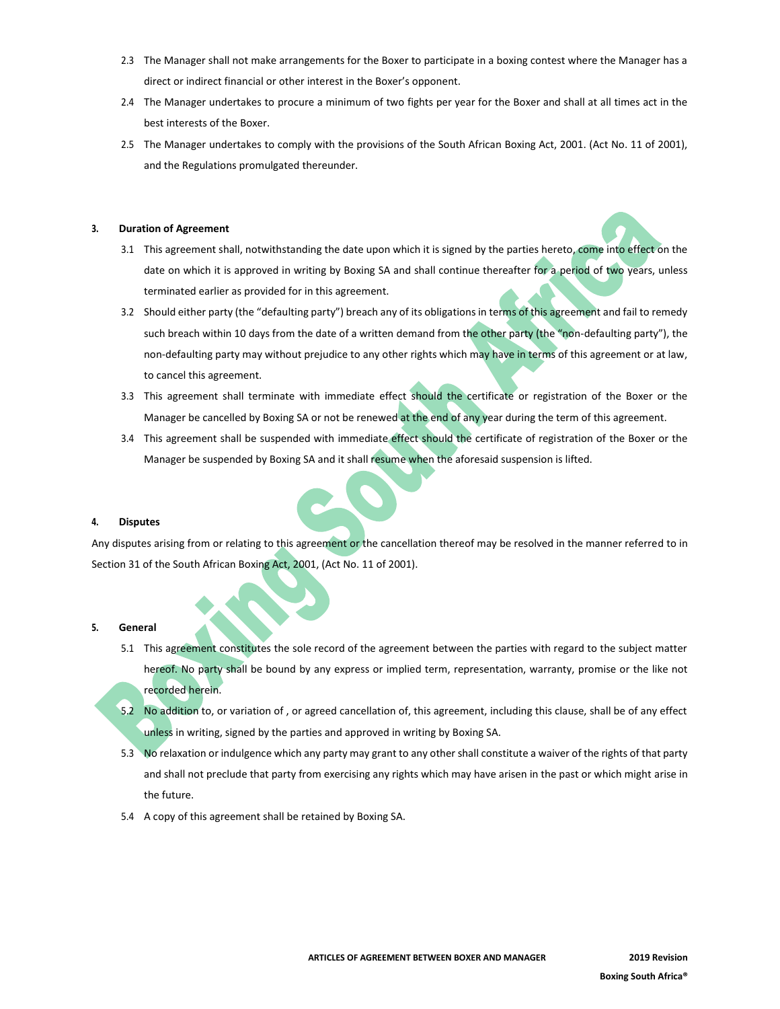- 2.3 The Manager shall not make arrangements for the Boxer to participate in a boxing contest where the Manager has a direct or indirect financial or other interest in the Boxer's opponent.
- 2.4 The Manager undertakes to procure a minimum of two fights per year for the Boxer and shall at all times act in the best interests of the Boxer.
- 2.5 The Manager undertakes to comply with the provisions of the South African Boxing Act, 2001. (Act No. 11 of 2001), and the Regulations promulgated thereunder.

## **3. Duration of Agreement**

- 3.1 This agreement shall, notwithstanding the date upon which it is signed by the parties hereto, come into effect on the date on which it is approved in writing by Boxing SA and shall continue thereafter for a period of two years, unless terminated earlier as provided for in this agreement.
- 3.2 Should either party (the "defaulting party") breach any of its obligations in terms of this agreement and fail to remedy such breach within 10 days from the date of a written demand from the other party (the "non-defaulting party"), the non-defaulting party may without prejudice to any other rights which may have in terms of this agreement or at law, to cancel this agreement.
- 3.3 This agreement shall terminate with immediate effect should the certificate or registration of the Boxer or the Manager be cancelled by Boxing SA or not be renewed at the end of any year during the term of this agreement.
- 3.4 This agreement shall be suspended with immediate effect should the certificate of registration of the Boxer or the Manager be suspended by Boxing SA and it shall resume when the aforesaid suspension is lifted.

## **4. Disputes**

Any disputes arising from or relating to this agreement or the cancellation thereof may be resolved in the manner referred to in Section 31 of the South African Boxing Act, 2001, (Act No. 11 of 2001).

## **5. General**

- 5.1 This agreement constitutes the sole record of the agreement between the parties with regard to the subject matter hereof. No party shall be bound by any express or implied term, representation, warranty, promise or the like not recorded herein.
- 5.2 No addition to, or variation of , or agreed cancellation of, this agreement, including this clause, shall be of any effect unless in writing, signed by the parties and approved in writing by Boxing SA.
- 5.3 No relaxation or indulgence which any party may grant to any other shall constitute a waiver of the rights of that party and shall not preclude that party from exercising any rights which may have arisen in the past or which might arise in the future.
- 5.4 A copy of this agreement shall be retained by Boxing SA.